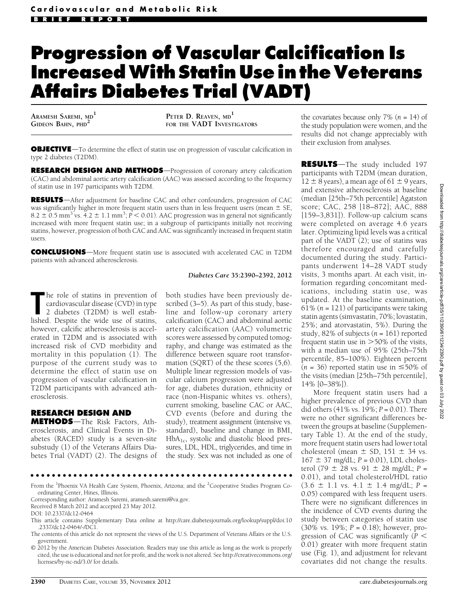## Progression of Vascular Calcification Is IncreasedWith Statin Use in the Veterans Affairs Diabetes Trial (VADT)

Aramesh Saremi, md<sup>1</sup><br>Gideon Bahn, phd<sup>2</sup>

PETER D. REAVEN, MD<sup>1</sup> FOR THE VADT INVESTIGATORS

**OBJECTIVE**-To determine the effect of statin use on progression of vascular calcification in type 2 diabetes (T2DM).

RESEARCH DESIGN AND METHODS-Progression of coronary artery calcification (CAC) and abdominal aortic artery calcification (AAC) was assessed according to the frequency of statin use in 197 participants with T2DM.

**RESULTS**—After adjustment for baseline CAC and other confounders, progression of CAC was significantly higher in more frequent statin users than in less frequent users (mean  $\pm$  SE,  $8.2 \pm 0.5$  mm<sup>3</sup> vs.  $4.2 \pm 1.1$  mm<sup>3</sup>;  $P < 0.01$ ). AAC progression was in general not significantly increased with more frequent statin use; in a subgroup of participants initially not receiving statins, however, progression of both CAC and AAC was significantly increased in frequent statin users.

**CONCLUSIONS**—More frequent statin use is associated with accelerated CAC in T2DM patients with advanced atherosclerosis.

## Diabetes Care 35:2390–2392, 2012

The role of statins in prevention of cardiovascular disease (CVD) in type 2 diabetes (T2DM) is well established. Despite the wide use of statins, he role of statins in prevention of cardiovascular disease (CVD) in type 2 diabetes (T2DM) is well estabhowever, calcific atherosclerosis is accelerated in T2DM and is associated with increased risk of CVD morbidity and mortality in this population (1). The purpose of the current study was to determine the effect of statin use on progression of vascular calcification in T2DM participants with advanced atherosclerosis.

## RESEARCH DESIGN AND

METHODS-The Risk Factors, Atherosclerosis, and Clinical Events in Diabetes (RACED) study is a seven-site substudy (1) of the Veterans Affairs Diabetes Trial (VADT) (2). The designs of both studies have been previously described (3–5). As part of this study, baseline and follow-up coronary artery calcification (CAC) and abdominal aortic artery calcification (AAC) volumetric scores were assessed by computed tomography, and change was estimated as the difference between square root transformation (SQRT) of the these scores (5,6). Multiple linear regression models of vascular calcium progression were adjusted for age, diabetes duration, ethnicity or race (non-Hispanic whites vs. others), current smoking, baseline CAC or AAC, CVD events (before and during the study), treatment assignment (intensive vs. standard), baseline and change in BMI, HbA<sub>1c</sub>, systolic and diastolic blood pressures, LDL, HDL, triglycerides, and time in the study. Sex was not included as one of

ccccccccccccccccccccccccccccccccccccccccccccccccc

From the <sup>1</sup>Phoenix VA Health Care System, Phoenix, Arizona; and the <sup>2</sup>Cooperative Studies Program Coordinating Center, Hines, Illinois.

the covariates because only 7% ( $n = 14$ ) of the study population were women, and the results did not change appreciably with their exclusion from analyses.

**RESULTS**—The study included 197 participants with T2DM (mean duration,  $12 \pm 8$  years), a mean age of 61  $\pm$  9 years, and extensive atherosclerosis at baseline (median [25th–75th percentile] Agatston score; CAC, 258 [18–872]; AAC, 888 [159–3,831]). Follow-up calcium scans were completed on average 4.6 years later. Optimizing lipid levels was a critical part of the VADT (2); use of statins was therefore encouraged and carefully documented during the study. Participants underwent 14–28 VADT study visits, 3 months apart. At each visit, information regarding concomitant medications, including statin use, was updated. At the baseline examination, 61% ( $n = 121$ ) of participants were taking statin agents (simvastatin, 70%; lovastatin, 25%; and atorvastatin, 5%). During the study,  $82\%$  of subjects ( $n = 161$ ) reported frequent statin use in  $>50\%$  of the visits, with a median use of 95% (25th–75th percentile, 85–100%). Eighteen percent  $(n = 36)$  reported statin use in  $\leq 50\%$  of the visits (median [25th–75th percentile], 14% [0–38%]).

More frequent statin users had a higher prevalence of previous CVD than did others  $(41\% \text{ vs. } 19\%; P = 0.01)$ . There were no other significant differences between the groups at baseline (Supplementary Table 1). At the end of the study, more frequent statin users had lower total cholesterol (mean  $\pm$  SD, 151  $\pm$  34 vs.  $167 \pm 37$  mg/dL;  $P = 0.01$ ), LDL cholesterol (79  $\pm$  28 vs. 91  $\pm$  28 mg/dL; P = 0.01), and total cholesterol/HDL ratio  $(3.6 \pm 1.1 \text{ vs. } 4.1 \pm 1.4 \text{ mg/dL}; P =$ 0.05) compared with less frequent users. There were no significant differences in the incidence of CVD events during the study between categories of statin use (30% vs. 19%;  $P = 0.18$ ); however, progression of CAC was significantly ( $P \leq$ 0.01) greater with more frequent statin use (Fig. 1), and adjustment for relevant covariates did not change the results.

Corresponding author: Aramesh Saremi, [aramesh.saremi@va.gov](mailto:aramesh.saremi@va.gov).

Received 8 March 2012 and accepted 23 May 2012.

DOI: 10.2337/dc12-0464

This article contains Supplementary Data online at [http://care.diabetesjournals.org/lookup/suppl/doi:10](http://care.diabetesjournals.org/lookup/suppl/doi:10.2337/dc12-0464/-/DC1) [.2337/dc12-0464/-/DC1](http://care.diabetesjournals.org/lookup/suppl/doi:10.2337/dc12-0464/-/DC1).

The contents of this article do not represent the views of the U.S. Department of Veterans Affairs or the U.S. government.

<sup>© 2012</sup> by the American Diabetes Association. Readers may use this article as long as the work is properly cited, the use is educational and not for profit, and the work is not altered. See [http://creativecommons.org/](http://creativecommons.org/licenses/by-nc-nd/3.0/) [licenses/by-nc-nd/3.0/](http://creativecommons.org/licenses/by-nc-nd/3.0/) for details.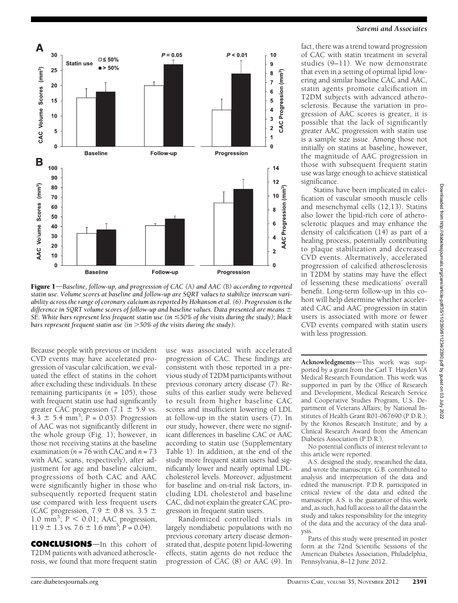

Figure 1—Baseline, follow-up, and progression of CAC (A) and AAC (B) according to reported statin use. Volume scores at baseline and follow-up are SQRT values to stabilize interscan variability across the range of coronary calcium as reported by Hokanson et al. (6). Progression is the difference in SQRT volume scores of follow-up and baseline values. Data presented are means  $\pm$ SE. White bars represent less frequent statin use (in  $\leq$ 50% of the visits during the study); black bars represent frequent statin use (in  $>50\%$  of the visits during the study).

Because people with previous or incident CVD events may have accelerated progression of vascular calcification, we evaluated the effect of statins in the cohort after excluding these individuals. In these remaining participants ( $n = 105$ ), those with frequent statin use had significantly greater CAC progression  $(7.1 \pm 5.9 \text{ vs.})$  $4.3 \pm 5.4 \text{ mm}^3$ ;  $P = 0.03$ ). Progression of AAC was not significantly different in the whole group (Fig. 1); however, in those not receiving statins at the baseline examination ( $n = 76$  with CAC and  $n = 73$ with AAC scans, respectively), after adjustment for age and baseline calcium, progressions of both CAC and AAC were significantly higher in those who subsequently reported frequent statin use compared with less frequent users (CAC progression, 7.9  $\pm$  0.8 vs. 3.5  $\pm$ 1.0 mm<sup>3</sup>;  $P < 0.01$ ; AAC progression,  $11.9 \pm 1.3$  vs.  $7.6 \pm 1.6$  mm<sup>3</sup>;  $P = 0.04$ ).

**CONCLUSIONS**—In this cohort of T2DM patients with advanced atherosclerosis, we found that more frequent statin use was associated with accelerated progression of CAC. These findings are consistent with those reported in a previous study of T2DM participants without previous coronary artery disease (7). Results of this earlier study were believed to result from higher baseline CAC scores and insufficient lowering of LDL at follow-up in the statin users (7). In our study, however, there were no significant differences in baseline CAC or AAC according to statin use (Supplementary Table 1). In addition, at the end of the study more frequent statin users had significantly lower and nearly optimal LDLcholesterol levels. Moreover, adjustment for baseline and on-trial risk factors, including LDL cholesterol and baseline CAC, did not explain the greater CAC progression in frequent statin users.

Randomized controlled trials in largely nondiabetic populations with no previous coronary artery disease demonstrated that, despite potent lipid-lowering effects, statin agents do not reduce the progression of CAC (8) or AAC (9). In fact, there was a trend toward progression of CAC with statin treatment in several studies (9–11). We now demonstrate that even in a setting of optimal lipid lowering and similar baseline CAC and AAC, statin agents promote calcification in T2DM subjects with advanced atherosclerosis. Because the variation in progression of AAC scores is greater, it is possible that the lack of significantly greater AAC progression with statin use is a sample size issue. Among those not initially on statins at baseline, however, the magnitude of AAC progression in those with subsequent frequent statin use was large enough to achieve statistical significance.

Statins have been implicated in calcification of vascular smooth muscle cells and mesenchymal cells (12,13). Statins also lower the lipid-rich core of atherosclerotic plaques and may enhance the density of calcification (14) as part of a healing process, potentially contributing to plaque stabilization and decreased CVD events. Alternatively, accelerated progression of calcified atherosclerosis in T2DM by statins may have the effect of lessening these medications' overall benefit. Long-term follow-up in this cohort will help determine whether accelerated CAC and AAC progression in statin users is associated with more or fewer CVD events compared with statin users with less progression.

Acknowledgments-This work was supported by a grant from the Carl T. Hayden VA Medical Research Foundation. This work was supported in part by the Office of Research and Development, Medical Research Service and Cooperative Studies Program, U.S. Department of Veterans Affairs; by National Institutes of Health Grant R01-067690 (P.D.R.); by the Kronos Research Institute; and by a Clinical Research Award from the American Diabetes Association (P.D.R.).

No potential conflicts of interest relevant to this article were reported.

A.S. designed the study, researched the data, and wrote the manuscript. G.B. contributed to analysis and interpretation of the data and edited the manuscript. P.D.R. participated in critical review of the data and edited the manuscript. A.S. is the guarantor of this work and, as such, had full access to all the data in the study and takes responsibility for the integrity of the data and the accuracy of the data analysis.

Parts of this study were presented in poster form at the 72nd Scientific Sessions of the American Diabetes Association, Philadelphia, Pennsylvania, 8–12 June 2012.